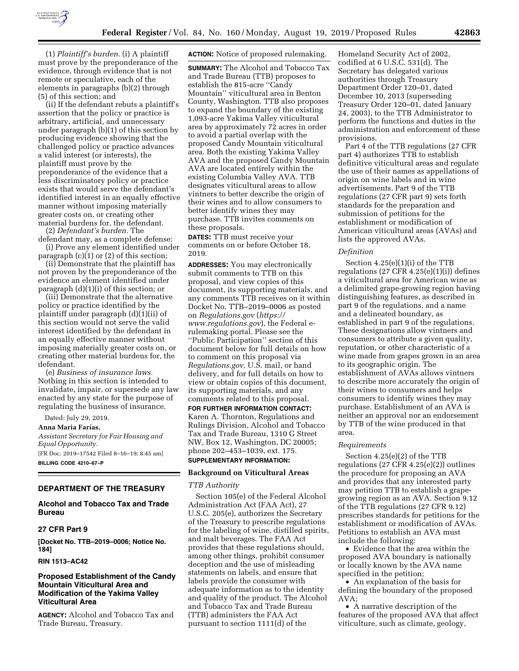

(1) *Plaintiff's burden.* (i) A plaintiff must prove by the preponderance of the evidence, through evidence that is not remote or speculative, each of the elements in paragraphs (b)(2) through (5) of this section; and

(ii) If the defendant rebuts a plaintiff's assertion that the policy or practice is arbitrary, artificial, and unnecessary under paragraph (b)(1) of this section by producing evidence showing that the challenged policy or practice advances a valid interest (or interests), the plaintiff must prove by the preponderance of the evidence that a less discriminatory policy or practice exists that would serve the defendant's identified interest in an equally effective manner without imposing materially greater costs on, or creating other material burdens for, the defendant.

(2) *Defendant's burden.* The

defendant may, as a complete defense: (i) Prove any element identified under paragraph (c)(1) or (2) of this section;

(ii) Demonstrate that the plaintiff has not proven by the preponderance of the evidence an element identified under paragraph (d)(1)(i) of this section; or

(iii) Demonstrate that the alternative policy or practice identified by the plaintiff under paragraph (d)(1)(ii) of this section would not serve the valid interest identified by the defendant in an equally effective manner without imposing materially greater costs on, or creating other material burdens for, the defendant.

(e) *Business of insurance laws.*  Nothing in this section is intended to invalidate, impair, or supersede any law enacted by any state for the purpose of regulating the business of insurance.

Dated: July 29, 2019.

**Anna Maria Farı´as,** 

*Assistant Secretary for Fair Housing and Equal Opportunity.*  [FR Doc. 2019–17542 Filed 8–16–19; 8:45 am] **BILLING CODE 4210–67–P** 

# **DEPARTMENT OF THE TREASURY**

# **Alcohol and Tobacco Tax and Trade Bureau**

## **27 CFR Part 9**

**[Docket No. TTB–2019–0006; Notice No. 184]** 

## **RIN 1513–AC42**

## **Proposed Establishment of the Candy Mountain Viticultural Area and Modification of the Yakima Valley Viticultural Area**

**AGENCY:** Alcohol and Tobacco Tax and Trade Bureau, Treasury.

**ACTION:** Notice of proposed rulemaking.

**SUMMARY:** The Alcohol and Tobacco Tax and Trade Bureau (TTB) proposes to establish the 815-acre ''Candy Mountain'' viticultural area in Benton County, Washington. TTB also proposes to expand the boundary of the existing 1,093-acre Yakima Valley viticultural area by approximately 72 acres in order to avoid a partial overlap with the proposed Candy Mountain viticultural area. Both the existing Yakima Valley AVA and the proposed Candy Mountain AVA are located entirely within the existing Columbia Valley AVA. TTB designates viticultural areas to allow vintners to better describe the origin of their wines and to allow consumers to better identify wines they may purchase. TTB invites comments on these proposals.

**DATES:** TTB must receive your comments on or before October 18, 2019.

**ADDRESSES:** You may electronically submit comments to TTB on this proposal, and view copies of this document, its supporting materials, and any comments TTB receives on it within Docket No. TTB–2019–0006 as posted on *Regulations.gov* (*[https://](https://www.regulations.gov) [www.regulations.gov](https://www.regulations.gov)*), the Federal erulemaking portal. Please see the ''Public Participation'' section of this document below for full details on how to comment on this proposal via *Regulations.gov,* U.S. mail, or hand delivery, and for full details on how to view or obtain copies of this document, its supporting materials, and any comments related to this proposal.

**FOR FURTHER INFORMATION CONTACT:**  Karen A. Thornton, Regulations and Rulings Division, Alcohol and Tobacco Tax and Trade Bureau, 1310 G Street NW, Box 12, Washington, DC 20005; phone 202–453–1039, ext. 175.

# **SUPPLEMENTARY INFORMATION:**

# **Background on Viticultural Areas**

## *TTB Authority*

Section 105(e) of the Federal Alcohol Administration Act (FAA Act), 27 U.S.C. 205(e), authorizes the Secretary of the Treasury to prescribe regulations for the labeling of wine, distilled spirits, and malt beverages. The FAA Act provides that these regulations should, among other things, prohibit consumer deception and the use of misleading statements on labels, and ensure that labels provide the consumer with adequate information as to the identity and quality of the product. The Alcohol and Tobacco Tax and Trade Bureau (TTB) administers the FAA Act pursuant to section 1111(d) of the

Homeland Security Act of 2002, codified at 6 U.S.C. 531(d). The Secretary has delegated various authorities through Treasury Department Order 120–01, dated December 10, 2013 (superseding Treasury Order 120–01, dated January 24, 2003), to the TTB Administrator to perform the functions and duties in the administration and enforcement of these provisions.

Part 4 of the TTB regulations (27 CFR part 4) authorizes TTB to establish definitive viticultural areas and regulate the use of their names as appellations of origin on wine labels and in wine advertisements. Part 9 of the TTB regulations (27 CFR part 9) sets forth standards for the preparation and submission of petitions for the establishment or modification of American viticultural areas (AVAs) and lists the approved AVAs.

#### *Definition*

Section 4.25(e)(1)(i) of the TTB regulations (27 CFR 4.25(e)(1)(i)) defines a viticultural area for American wine as a delimited grape-growing region having distinguishing features, as described in part 9 of the regulations, and a name and a delineated boundary, as established in part 9 of the regulations. These designations allow vintners and consumers to attribute a given quality, reputation, or other characteristic of a wine made from grapes grown in an area to its geographic origin. The establishment of AVAs allows vintners to describe more accurately the origin of their wines to consumers and helps consumers to identify wines they may purchase. Establishment of an AVA is neither an approval nor an endorsement by TTB of the wine produced in that area.

#### *Requirements*

Section 4.25(e)(2) of the TTB regulations (27 CFR 4.25(e)(2)) outlines the procedure for proposing an AVA and provides that any interested party may petition TTB to establish a grapegrowing region as an AVA. Section 9.12 of the TTB regulations (27 CFR 9.12) prescribes standards for petitions for the establishment or modification of AVAs. Petitions to establish an AVA must include the following:

• Evidence that the area within the proposed AVA boundary is nationally or locally known by the AVA name specified in the petition;

• An explanation of the basis for defining the boundary of the proposed AVA;

• A narrative description of the features of the proposed AVA that affect viticulture, such as climate, geology,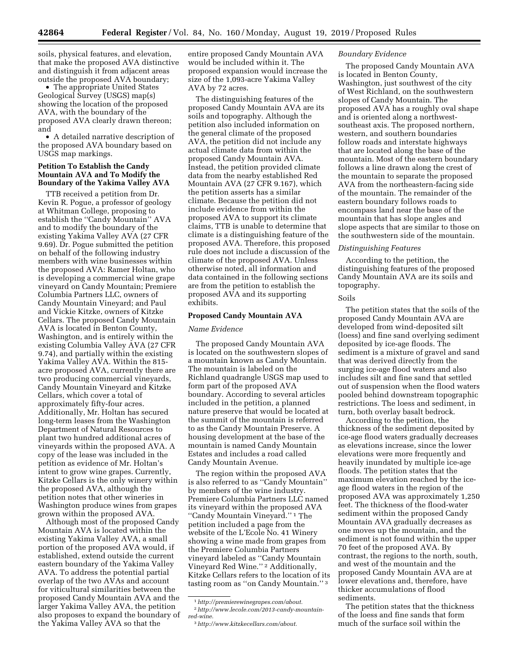soils, physical features, and elevation, that make the proposed AVA distinctive and distinguish it from adjacent areas outside the proposed AVA boundary;

• The appropriate United States Geological Survey (USGS) map(s) showing the location of the proposed AVA, with the boundary of the proposed AVA clearly drawn thereon; and

• A detailed narrative description of the proposed AVA boundary based on USGS map markings.

## **Petition To Establish the Candy Mountain AVA and To Modify the Boundary of the Yakima Valley AVA**

TTB received a petition from Dr. Kevin R. Pogue, a professor of geology at Whitman College, proposing to establish the ''Candy Mountain'' AVA and to modify the boundary of the existing Yakima Valley AVA (27 CFR 9.69). Dr. Pogue submitted the petition on behalf of the following industry members with wine businesses within the proposed AVA: Ramer Holtan, who is developing a commercial wine grape vineyard on Candy Mountain; Premiere Columbia Partners LLC, owners of Candy Mountain Vineyard; and Paul and Vickie Kitzke, owners of Kitzke Cellars. The proposed Candy Mountain AVA is located in Benton County, Washington, and is entirely within the existing Columbia Valley AVA (27 CFR 9.74), and partially within the existing Yakima Valley AVA. Within the 815 acre proposed AVA, currently there are two producing commercial vineyards, Candy Mountain Vineyard and Kitzke Cellars, which cover a total of approximately fifty-four acres. Additionally, Mr. Holtan has secured long-term leases from the Washington Department of Natural Resources to plant two hundred additional acres of vineyards within the proposed AVA. A copy of the lease was included in the petition as evidence of Mr. Holtan's intent to grow wine grapes. Currently, Kitzke Cellars is the only winery within the proposed AVA, although the petition notes that other wineries in Washington produce wines from grapes grown within the proposed AVA.

Although most of the proposed Candy Mountain AVA is located within the existing Yakima Valley AVA, a small portion of the proposed AVA would, if established, extend outside the current eastern boundary of the Yakima Valley AVA. To address the potential partial overlap of the two AVAs and account for viticultural similarities between the proposed Candy Mountain AVA and the larger Yakima Valley AVA, the petition also proposes to expand the boundary of the Yakima Valley AVA so that the

entire proposed Candy Mountain AVA would be included within it. The proposed expansion would increase the size of the 1,093-acre Yakima Valley AVA by 72 acres.

The distinguishing features of the proposed Candy Mountain AVA are its soils and topography. Although the petition also included information on the general climate of the proposed AVA, the petition did not include any actual climate data from within the proposed Candy Mountain AVA. Instead, the petition provided climate data from the nearby established Red Mountain AVA (27 CFR 9.167), which the petition asserts has a similar climate. Because the petition did not include evidence from within the proposed AVA to support its climate claims, TTB is unable to determine that climate is a distinguishing feature of the proposed AVA. Therefore, this proposed rule does not include a discussion of the climate of the proposed AVA. Unless otherwise noted, all information and data contained in the following sections are from the petition to establish the proposed AVA and its supporting exhibits.

# **Proposed Candy Mountain AVA**

## *Name Evidence*

The proposed Candy Mountain AVA is located on the southwestern slopes of a mountain known as Candy Mountain. The mountain is labeled on the Richland quadrangle USGS map used to form part of the proposed AVA boundary. According to several articles included in the petition, a planned nature preserve that would be located at the summit of the mountain is referred to as the Candy Mountain Preserve. A housing development at the base of the mountain is named Candy Mountain Estates and includes a road called Candy Mountain Avenue.

The region within the proposed AVA is also referred to as ''Candy Mountain'' by members of the wine industry. Premiere Columbia Partners LLC named its vineyard within the proposed AVA ''Candy Mountain Vineyard.'' 1 The petition included a page from the website of the L'Ecole No. 41 Winery showing a wine made from grapes from the Premiere Columbia Partners vineyard labeled as ''Candy Mountain Vineyard Red Wine.'' 2 Additionally, Kitzke Cellars refers to the location of its tasting room as ''on Candy Mountain.'' 3

## *Boundary Evidence*

The proposed Candy Mountain AVA is located in Benton County, Washington, just southwest of the city of West Richland, on the southwestern slopes of Candy Mountain. The proposed AVA has a roughly oval shape and is oriented along a northwestsoutheast axis. The proposed northern, western, and southern boundaries follow roads and interstate highways that are located along the base of the mountain. Most of the eastern boundary follows a line drawn along the crest of the mountain to separate the proposed AVA from the northeastern-facing side of the mountain. The remainder of the eastern boundary follows roads to encompass land near the base of the mountain that has slope angles and slope aspects that are similar to those on the southwestern side of the mountain.

## *Distinguishing Features*

According to the petition, the distinguishing features of the proposed Candy Mountain AVA are its soils and topography.

## Soils

The petition states that the soils of the proposed Candy Mountain AVA are developed from wind-deposited silt (loess) and fine sand overlying sediment deposited by ice-age floods. The sediment is a mixture of gravel and sand that was derived directly from the surging ice-age flood waters and also includes silt and fine sand that settled out of suspension when the flood waters pooled behind downstream topographic restrictions. The loess and sediment, in turn, both overlay basalt bedrock.

According to the petition, the thickness of the sediment deposited by ice-age flood waters gradually decreases as elevations increase, since the lower elevations were more frequently and heavily inundated by multiple ice-age floods. The petition states that the maximum elevation reached by the iceage flood waters in the region of the proposed AVA was approximately 1,250 feet. The thickness of the flood-water sediment within the proposed Candy Mountain AVA gradually decreases as one moves up the mountain, and the sediment is not found within the upper 70 feet of the proposed AVA. By contrast, the regions to the north, south, and west of the mountain and the proposed Candy Mountain AVA are at lower elevations and, therefore, have thicker accumulations of flood sediments.

The petition states that the thickness of the loess and fine sands that form much of the surface soil within the

<sup>1</sup>*[http://premierewinegrapes.com/about.](http://premierewinegrapes.com/about)*  2*[http://www.lecole.com/2013-candy-mountain-](http://www.lecole.com/2013-candy-mountain-red-wine)*

*[red-wine.](http://www.lecole.com/2013-candy-mountain-red-wine)* 

<sup>3</sup>*[http://www.kitzkecellars.com/about.](http://www.kitzkecellars.com/about)*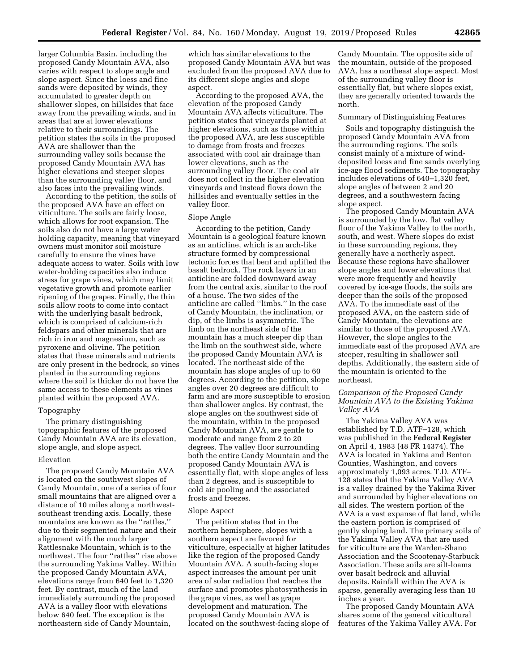larger Columbia Basin, including the proposed Candy Mountain AVA, also varies with respect to slope angle and slope aspect. Since the loess and fine sands were deposited by winds, they accumulated to greater depth on shallower slopes, on hillsides that face away from the prevailing winds, and in areas that are at lower elevations relative to their surroundings. The petition states the soils in the proposed AVA are shallower than the surrounding valley soils because the proposed Candy Mountain AVA has higher elevations and steeper slopes than the surrounding valley floor, and also faces into the prevailing winds.

According to the petition, the soils of the proposed AVA have an effect on viticulture. The soils are fairly loose, which allows for root expansion. The soils also do not have a large water holding capacity, meaning that vineyard owners must monitor soil moisture carefully to ensure the vines have adequate access to water. Soils with low water-holding capacities also induce stress for grape vines, which may limit vegetative growth and promote earlier ripening of the grapes. Finally, the thin soils allow roots to come into contact with the underlying basalt bedrock, which is comprised of calcium-rich feldspars and other minerals that are rich in iron and magnesium, such as pyroxene and olivine. The petition states that these minerals and nutrients are only present in the bedrock, so vines planted in the surrounding regions where the soil is thicker do not have the same access to these elements as vines planted within the proposed AVA.

## Topography

The primary distinguishing topographic features of the proposed Candy Mountain AVA are its elevation, slope angle, and slope aspect.

## Elevation

The proposed Candy Mountain AVA is located on the southwest slopes of Candy Mountain, one of a series of four small mountains that are aligned over a distance of 10 miles along a northwestsoutheast trending axis. Locally, these mountains are known as the ''rattles,'' due to their segmented nature and their alignment with the much larger Rattlesnake Mountain, which is to the northwest. The four ''rattles'' rise above the surrounding Yakima Valley. Within the proposed Candy Mountain AVA, elevations range from 640 feet to 1,320 feet. By contrast, much of the land immediately surrounding the proposed AVA is a valley floor with elevations below 640 feet. The exception is the northeastern side of Candy Mountain,

which has similar elevations to the proposed Candy Mountain AVA but was excluded from the proposed AVA due to its different slope angles and slope aspect.

According to the proposed AVA, the elevation of the proposed Candy Mountain AVA affects viticulture. The petition states that vineyards planted at higher elevations, such as those within the proposed AVA, are less susceptible to damage from frosts and freezes associated with cool air drainage than lower elevations, such as the surrounding valley floor. The cool air does not collect in the higher elevation vineyards and instead flows down the hillsides and eventually settles in the valley floor.

#### Slope Angle

According to the petition, Candy Mountain is a geological feature known as an anticline, which is an arch-like structure formed by compressional tectonic forces that bent and uplifted the basalt bedrock. The rock layers in an anticline are folded downward away from the central axis, similar to the roof of a house. The two sides of the anticline are called ''limbs.'' In the case of Candy Mountain, the inclination, or dip, of the limbs is asymmetric. The limb on the northeast side of the mountain has a much steeper dip than the limb on the southwest side, where the proposed Candy Mountain AVA is located. The northeast side of the mountain has slope angles of up to 60 degrees. According to the petition, slope angles over 20 degrees are difficult to farm and are more susceptible to erosion than shallower angles. By contrast, the slope angles on the southwest side of the mountain, within in the proposed Candy Mountain AVA, are gentle to moderate and range from 2 to 20 degrees. The valley floor surrounding both the entire Candy Mountain and the proposed Candy Mountain AVA is essentially flat, with slope angles of less than 2 degrees, and is susceptible to cold air pooling and the associated frosts and freezes.

#### Slope Aspect

The petition states that in the northern hemisphere, slopes with a southern aspect are favored for viticulture, especially at higher latitudes like the region of the proposed Candy Mountain AVA. A south-facing slope aspect increases the amount per unit area of solar radiation that reaches the surface and promotes photosynthesis in the grape vines, as well as grape development and maturation. The proposed Candy Mountain AVA is located on the southwest-facing slope of

Candy Mountain. The opposite side of the mountain, outside of the proposed AVA, has a northeast slope aspect. Most of the surrounding valley floor is essentially flat, but where slopes exist, they are generally oriented towards the north.

#### Summary of Distinguishing Features

Soils and topography distinguish the proposed Candy Mountain AVA from the surrounding regions. The soils consist mainly of a mixture of winddeposited loess and fine sands overlying ice-age flood sediments. The topography includes elevations of 640–1,320 feet, slope angles of between 2 and 20 degrees, and a southwestern facing slope aspect.

The proposed Candy Mountain AVA is surrounded by the low, flat valley floor of the Yakima Valley to the north, south, and west. Where slopes do exist in these surrounding regions, they generally have a northerly aspect. Because these regions have shallower slope angles and lower elevations that were more frequently and heavily covered by ice-age floods, the soils are deeper than the soils of the proposed AVA. To the immediate east of the proposed AVA, on the eastern side of Candy Mountain, the elevations are similar to those of the proposed AVA. However, the slope angles to the immediate east of the proposed AVA are steeper, resulting in shallower soil depths. Additionally, the eastern side of the mountain is oriented to the northeast.

# *Comparison of the Proposed Candy Mountain AVA to the Existing Yakima Valley AVA*

The Yakima Valley AVA was established by T.D. ATF–128, which was published in the **Federal Register**  on April 4, 1983 (48 FR 14374). The AVA is located in Yakima and Benton Counties, Washington, and covers approximately 1,093 acres. T.D. ATF– 128 states that the Yakima Valley AVA is a valley drained by the Yakima River and surrounded by higher elevations on all sides. The western portion of the AVA is a vast expanse of flat land, while the eastern portion is comprised of gently sloping land. The primary soils of the Yakima Valley AVA that are used for viticulture are the Warden-Shano Association and the Scootenay-Starbuck Association. These soils are silt-loams over basalt bedrock and alluvial deposits. Rainfall within the AVA is sparse, generally averaging less than 10 inches a year.

The proposed Candy Mountain AVA shares some of the general viticultural features of the Yakima Valley AVA. For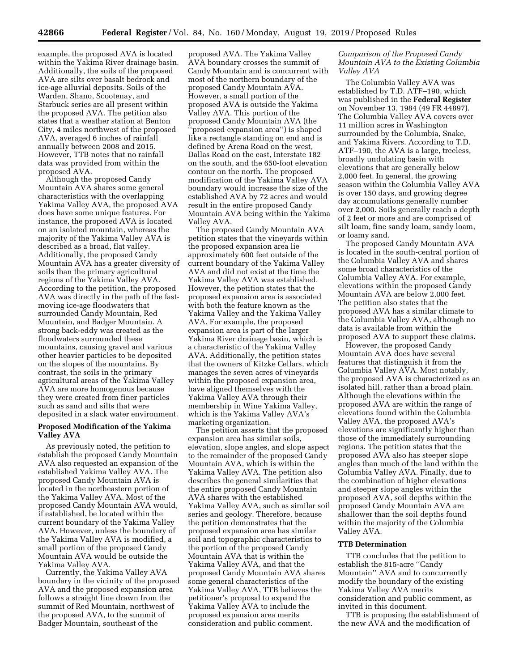example, the proposed AVA is located within the Yakima River drainage basin. Additionally, the soils of the proposed AVA are silts over basalt bedrock and ice-age alluvial deposits. Soils of the Warden, Shano, Scootenay, and Starbuck series are all present within the proposed AVA. The petition also states that a weather station at Benton City, 4 miles northwest of the proposed AVA, averaged 6 inches of rainfall annually between 2008 and 2015. However, TTB notes that no rainfall data was provided from within the proposed AVA.

Although the proposed Candy Mountain AVA shares some general characteristics with the overlapping Yakima Valley AVA, the proposed AVA does have some unique features. For instance, the proposed AVA is located on an isolated mountain, whereas the majority of the Yakima Valley AVA is described as a broad, flat valley. Additionally, the proposed Candy Mountain AVA has a greater diversity of soils than the primary agricultural regions of the Yakima Valley AVA. According to the petition, the proposed AVA was directly in the path of the fastmoving ice-age floodwaters that surrounded Candy Mountain, Red Mountain, and Badger Mountain. A strong back-eddy was created as the floodwaters surrounded these mountains, causing gravel and various other heavier particles to be deposited on the slopes of the mountains. By contrast, the soils in the primary agricultural areas of the Yakima Valley AVA are more homogenous because they were created from finer particles such as sand and silts that were deposited in a slack water environment.

## **Proposed Modification of the Yakima Valley AVA**

As previously noted, the petition to establish the proposed Candy Mountain AVA also requested an expansion of the established Yakima Valley AVA. The proposed Candy Mountain AVA is located in the northeastern portion of the Yakima Valley AVA. Most of the proposed Candy Mountain AVA would, if established, be located within the current boundary of the Yakima Valley AVA. However, unless the boundary of the Yakima Valley AVA is modified, a small portion of the proposed Candy Mountain AVA would be outside the Yakima Valley AVA.

Currently, the Yakima Valley AVA boundary in the vicinity of the proposed AVA and the proposed expansion area follows a straight line drawn from the summit of Red Mountain, northwest of the proposed AVA, to the summit of Badger Mountain, southeast of the

proposed AVA. The Yakima Valley AVA boundary crosses the summit of Candy Mountain and is concurrent with most of the northern boundary of the proposed Candy Mountain AVA. However, a small portion of the proposed AVA is outside the Yakima Valley AVA. This portion of the proposed Candy Mountain AVA (the 'proposed expansion area'') is shaped like a rectangle standing on end and is defined by Arena Road on the west, Dallas Road on the east, Interstate 182 on the south, and the 650-foot elevation contour on the north. The proposed modification of the Yakima Valley AVA boundary would increase the size of the established AVA by 72 acres and would result in the entire proposed Candy Mountain AVA being within the Yakima Valley AVA.

The proposed Candy Mountain AVA petition states that the vineyards within the proposed expansion area lie approximately 600 feet outside of the current boundary of the Yakima Valley AVA and did not exist at the time the Yakima Valley AVA was established. However, the petition states that the proposed expansion area is associated with both the feature known as the Yakima Valley and the Yakima Valley AVA. For example, the proposed expansion area is part of the larger Yakima River drainage basin, which is a characteristic of the Yakima Valley AVA. Additionally, the petition states that the owners of Kitzke Cellars, which manages the seven acres of vineyards within the proposed expansion area, have aligned themselves with the Yakima Valley AVA through their membership in Wine Yakima Valley, which is the Yakima Valley AVA's marketing organization.

The petition asserts that the proposed expansion area has similar soils, elevation, slope angles, and slope aspect to the remainder of the proposed Candy Mountain AVA, which is within the Yakima Valley AVA. The petition also describes the general similarities that the entire proposed Candy Mountain AVA shares with the established Yakima Valley AVA, such as similar soil series and geology. Therefore, because the petition demonstrates that the proposed expansion area has similar soil and topographic characteristics to the portion of the proposed Candy Mountain AVA that is within the Yakima Valley AVA, and that the proposed Candy Mountain AVA shares some general characteristics of the Yakima Valley AVA, TTB believes the petitioner's proposal to expand the Yakima Valley AVA to include the proposed expansion area merits consideration and public comment.

## *Comparison of the Proposed Candy Mountain AVA to the Existing Columbia Valley AVA*

The Columbia Valley AVA was established by T.D. ATF–190, which was published in the **Federal Register**  on November 13, 1984 (49 FR 44897). The Columbia Valley AVA covers over 11 million acres in Washington surrounded by the Columbia, Snake, and Yakima Rivers. According to T.D. ATF–190, the AVA is a large, treeless, broadly undulating basin with elevations that are generally below 2,000 feet. In general, the growing season within the Columbia Valley AVA is over 150 days, and growing degree day accumulations generally number over 2,000. Soils generally reach a depth of 2 feet or more and are comprised of silt loam, fine sandy loam, sandy loam, or loamy sand.

The proposed Candy Mountain AVA is located in the south-central portion of the Columbia Valley AVA and shares some broad characteristics of the Columbia Valley AVA. For example, elevations within the proposed Candy Mountain AVA are below 2,000 feet. The petition also states that the proposed AVA has a similar climate to the Columbia Valley AVA, although no data is available from within the proposed AVA to support these claims.

However, the proposed Candy Mountain AVA does have several features that distinguish it from the Columbia Valley AVA. Most notably, the proposed AVA is characterized as an isolated hill, rather than a broad plain. Although the elevations within the proposed AVA are within the range of elevations found within the Columbia Valley AVA, the proposed AVA's elevations are significantly higher than those of the immediately surrounding regions. The petition states that the proposed AVA also has steeper slope angles than much of the land within the Columbia Valley AVA. Finally, due to the combination of higher elevations and steeper slope angles within the proposed AVA, soil depths within the proposed Candy Mountain AVA are shallower than the soil depths found within the majority of the Columbia Valley AVA.

## **TTB Determination**

TTB concludes that the petition to establish the 815-acre ''Candy Mountain'' AVA and to concurrently modify the boundary of the existing Yakima Valley AVA merits consideration and public comment, as invited in this document.

TTB is proposing the establishment of the new AVA and the modification of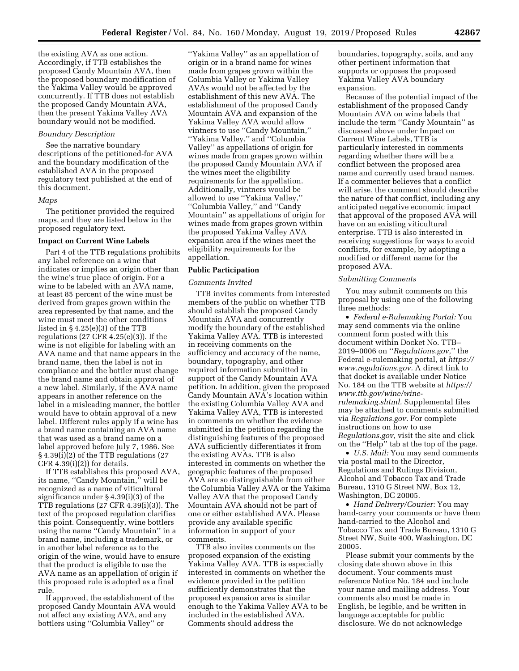the existing AVA as one action. Accordingly, if TTB establishes the proposed Candy Mountain AVA, then the proposed boundary modification of the Yakima Valley would be approved concurrently. If TTB does not establish the proposed Candy Mountain AVA, then the present Yakima Valley AVA boundary would not be modified.

## *Boundary Description*

See the narrative boundary descriptions of the petitioned-for AVA and the boundary modification of the established AVA in the proposed regulatory text published at the end of this document.

#### *Maps*

The petitioner provided the required maps, and they are listed below in the proposed regulatory text.

#### **Impact on Current Wine Labels**

Part 4 of the TTB regulations prohibits any label reference on a wine that indicates or implies an origin other than the wine's true place of origin. For a wine to be labeled with an AVA name, at least 85 percent of the wine must be derived from grapes grown within the area represented by that name, and the wine must meet the other conditions listed in § 4.25(e)(3) of the TTB regulations (27 CFR 4.25(e)(3)). If the wine is not eligible for labeling with an AVA name and that name appears in the brand name, then the label is not in compliance and the bottler must change the brand name and obtain approval of a new label. Similarly, if the AVA name appears in another reference on the label in a misleading manner, the bottler would have to obtain approval of a new label. Different rules apply if a wine has a brand name containing an AVA name that was used as a brand name on a label approved before July 7, 1986. See § 4.39(i)(2) of the TTB regulations (27 CFR  $4.39(i)(2)$ ) for details.

If TTB establishes this proposed AVA, its name, ''Candy Mountain,'' will be recognized as a name of viticultural significance under § 4.39(i)(3) of the TTB regulations (27 CFR 4.39(i)(3)). The text of the proposed regulation clarifies this point. Consequently, wine bottlers using the name ''Candy Mountain'' in a brand name, including a trademark, or in another label reference as to the origin of the wine, would have to ensure that the product is eligible to use the AVA name as an appellation of origin if this proposed rule is adopted as a final rule.

If approved, the establishment of the proposed Candy Mountain AVA would not affect any existing AVA, and any bottlers using ''Columbia Valley'' or

''Yakima Valley'' as an appellation of origin or in a brand name for wines made from grapes grown within the Columbia Valley or Yakima Valley AVAs would not be affected by the establishment of this new AVA. The establishment of the proposed Candy Mountain AVA and expansion of the Yakima Valley AVA would allow vintners to use ''Candy Mountain,'' ''Yakima Valley,'' and ''Columbia Valley'' as appellations of origin for wines made from grapes grown within the proposed Candy Mountain AVA if the wines meet the eligibility requirements for the appellation. Additionally, vintners would be allowed to use ''Yakima Valley,'' ''Columbia Valley,'' and ''Candy Mountain'' as appellations of origin for wines made from grapes grown within the proposed Yakima Valley AVA expansion area if the wines meet the eligibility requirements for the appellation.

#### **Public Participation**

#### *Comments Invited*

TTB invites comments from interested members of the public on whether TTB should establish the proposed Candy Mountain AVA and concurrently modify the boundary of the established Yakima Valley AVA. TTB is interested in receiving comments on the sufficiency and accuracy of the name, boundary, topography, and other required information submitted in support of the Candy Mountain AVA petition. In addition, given the proposed Candy Mountain AVA's location within the existing Columbia Valley AVA and Yakima Valley AVA, TTB is interested in comments on whether the evidence submitted in the petition regarding the distinguishing features of the proposed AVA sufficiently differentiates it from the existing AVAs. TTB is also interested in comments on whether the geographic features of the proposed AVA are so distinguishable from either the Columbia Valley AVA or the Yakima Valley AVA that the proposed Candy Mountain AVA should not be part of one or either established AVA. Please provide any available specific information in support of your comments.

TTB also invites comments on the proposed expansion of the existing Yakima Valley AVA. TTB is especially interested in comments on whether the evidence provided in the petition sufficiently demonstrates that the proposed expansion area is similar enough to the Yakima Valley AVA to be included in the established AVA. Comments should address the

boundaries, topography, soils, and any other pertinent information that supports or opposes the proposed Yakima Valley AVA boundary expansion.

Because of the potential impact of the establishment of the proposed Candy Mountain AVA on wine labels that include the term ''Candy Mountain'' as discussed above under Impact on Current Wine Labels, TTB is particularly interested in comments regarding whether there will be a conflict between the proposed area name and currently used brand names. If a commenter believes that a conflict will arise, the comment should describe the nature of that conflict, including any anticipated negative economic impact that approval of the proposed AVA will have on an existing viticultural enterprise. TTB is also interested in receiving suggestions for ways to avoid conflicts, for example, by adopting a modified or different name for the proposed AVA.

## *Submitting Comments*

You may submit comments on this proposal by using one of the following three methods:

• *Federal e-Rulemaking Portal:* You may send comments via the online comment form posted with this document within Docket No. TTB– 2019–0006 on ''*Regulations.gov,*'' the Federal e-rulemaking portal, at *[https://](https://www.regulations.gov) [www.regulations.gov.](https://www.regulations.gov)* A direct link to that docket is available under Notice No. 184 on the TTB website at *[https://](https://www.ttb.gov/wine/wine-rulemaking.shtml)  [www.ttb.gov/wine/wine](https://www.ttb.gov/wine/wine-rulemaking.shtml)[rulemaking.shtml.](https://www.ttb.gov/wine/wine-rulemaking.shtml)* Supplemental files may be attached to comments submitted via *Regulations.gov.* For complete instructions on how to use *Regulations.gov,* visit the site and click on the ''Help'' tab at the top of the page.

• *U.S. Mail:* You may send comments via postal mail to the Director, Regulations and Rulings Division, Alcohol and Tobacco Tax and Trade Bureau, 1310 G Street NW, Box 12, Washington, DC 20005.

• *Hand Delivery/Courier:* You may hand-carry your comments or have them hand-carried to the Alcohol and Tobacco Tax and Trade Bureau, 1310 G Street NW, Suite 400, Washington, DC 20005.

Please submit your comments by the closing date shown above in this document. Your comments must reference Notice No. 184 and include your name and mailing address. Your comments also must be made in English, be legible, and be written in language acceptable for public disclosure. We do not acknowledge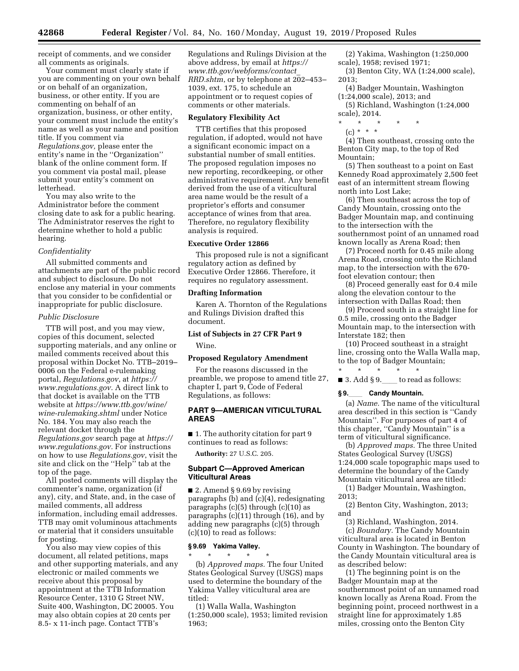receipt of comments, and we consider all comments as originals.

Your comment must clearly state if you are commenting on your own behalf or on behalf of an organization, business, or other entity. If you are commenting on behalf of an organization, business, or other entity, your comment must include the entity's name as well as your name and position title. If you comment via *Regulations.gov,* please enter the entity's name in the ''Organization'' blank of the online comment form. If you comment via postal mail, please submit your entity's comment on letterhead.

You may also write to the Administrator before the comment closing date to ask for a public hearing. The Administrator reserves the right to determine whether to hold a public hearing.

## *Confidentiality*

All submitted comments and attachments are part of the public record and subject to disclosure. Do not enclose any material in your comments that you consider to be confidential or inappropriate for public disclosure.

#### *Public Disclosure*

TTB will post, and you may view, copies of this document, selected supporting materials, and any online or mailed comments received about this proposal within Docket No. TTB–2019– 0006 on the Federal e-rulemaking portal, *Regulations.gov*, at *[https://](https://www.regulations.gov) [www.regulations.gov.](https://www.regulations.gov)* A direct link to that docket is available on the TTB website at *[https://www.ttb.gov/wine/](https://www.ttb.gov/wine/wine-rulemaking.shtml)  [wine-rulemaking.shtml](https://www.ttb.gov/wine/wine-rulemaking.shtml)* under Notice No. 184. You may also reach the relevant docket through the *Regulations.gov* search page at *[https://](https://www.regulations.gov) [www.regulations.gov.](https://www.regulations.gov)* For instructions on how to use *Regulations.gov*, visit the site and click on the ''Help'' tab at the top of the page.

All posted comments will display the commenter's name, organization (if any), city, and State, and, in the case of mailed comments, all address information, including email addresses. TTB may omit voluminous attachments or material that it considers unsuitable for posting.

You also may view copies of this document, all related petitions, maps and other supporting materials, and any electronic or mailed comments we receive about this proposal by appointment at the TTB Information Resource Center, 1310 G Street NW, Suite 400, Washington, DC 20005. You may also obtain copies at 20 cents per 8.5- x 11-inch page. Contact TTB's

Regulations and Rulings Division at the above address, by email at *[https://](https://www.ttb.gov/webforms/contact_RRD.shtm) [www.ttb.gov/webforms/contact](https://www.ttb.gov/webforms/contact_RRD.shtm)*\_ *[RRD.shtm](https://www.ttb.gov/webforms/contact_RRD.shtm)*, or by telephone at 202–453– 1039, ext. 175, to schedule an appointment or to request copies of comments or other materials.

#### **Regulatory Flexibility Act**

TTB certifies that this proposed regulation, if adopted, would not have a significant economic impact on a substantial number of small entities. The proposed regulation imposes no new reporting, recordkeeping, or other administrative requirement. Any benefit derived from the use of a viticultural area name would be the result of a proprietor's efforts and consumer acceptance of wines from that area. Therefore, no regulatory flexibility analysis is required.

#### **Executive Order 12866**

This proposed rule is not a significant regulatory action as defined by Executive Order 12866. Therefore, it requires no regulatory assessment.

## **Drafting Information**

Karen A. Thornton of the Regulations and Rulings Division drafted this document.

# **List of Subjects in 27 CFR Part 9**  Wine.

**Proposed Regulatory Amendment** 

# For the reasons discussed in the preamble, we propose to amend title 27, chapter I, part 9, Code of Federal Regulations, as follows:

## **PART 9—AMERICAN VITICULTURAL AREAS**

■ 1. The authority citation for part 9 continues to read as follows:

**Authority:** 27 U.S.C. 205.

## **Subpart C—Approved American Viticultural Areas**

■ 2. Amend § 9.69 by revising paragraphs (b) and (c)(4), redesignating paragraphs  $(c)(5)$  through  $(c)(10)$  as paragraphs (c)(11) through (16), and by adding new paragraphs (c)(5) through (c)(10) to read as follows:

#### **§ 9.69 Yakima Valley.**

\* \* \* \* \* (b) *Approved maps.* The four United States Geological Survey (USGS) maps used to determine the boundary of the Yakima Valley viticultural area are titled:

(1) Walla Walla, Washington (1:250,000 scale), 1953; limited revision 1963;

(2) Yakima, Washington (1:250,000 scale), 1958; revised 1971;

- (3) Benton City, WA (1:24,000 scale), 2013;
- (4) Badger Mountain, Washington (1:24,000 scale), 2013; and
- (5) Richland, Washington (1:24,000 scale), 2014.
- \* \* \* \* \*
	- (c) \* \* \*

(4) Then southeast, crossing onto the Benton City map, to the top of Red Mountain;

(5) Then southeast to a point on East Kennedy Road approximately 2,500 feet east of an intermittent stream flowing north into Lost Lake;

(6) Then southeast across the top of Candy Mountain, crossing onto the Badger Mountain map, and continuing to the intersection with the southernmost point of an unnamed road known locally as Arena Road; then

(7) Proceed north for 0.45 mile along Arena Road, crossing onto the Richland map, to the intersection with the 670 foot elevation contour; then

(8) Proceed generally east for 0.4 mile along the elevation contour to the intersection with Dallas Road; then

(9) Proceed south in a straight line for 0.5 mile, crossing onto the Badger Mountain map, to the intersection with Interstate 182; then

(10) Proceed southeast in a straight line, crossing onto the Walla Walla map, to the top of Badger Mountain; \* \* \* \* \*

■ 3. Add § 9. to read as follows:

#### **§ 9.**ll **Candy Mountain.**

(a) *Name.* The name of the viticultural area described in this section is ''Candy Mountain''. For purposes of part 4 of this chapter, ''Candy Mountain'' is a term of viticultural significance.

(b) *Approved maps.* The three United States Geological Survey (USGS) 1:24,000 scale topographic maps used to determine the boundary of the Candy Mountain viticultural area are titled:

(1) Badger Mountain, Washington, 2013;

(2) Benton City, Washington, 2013; and

(3) Richland, Washington, 2014. (c) *Boundary.* The Candy Mountain viticultural area is located in Benton County in Washington. The boundary of the Candy Mountain viticultural area is as described below:

(1) The beginning point is on the Badger Mountain map at the southernmost point of an unnamed road known locally as Arena Road. From the beginning point, proceed northwest in a straight line for approximately 1.85 miles, crossing onto the Benton City